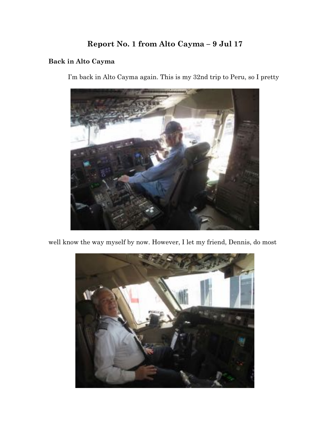# **Report No. 1 from Alto Cayma – 9 Jul 17**

## **Back in Alto Cayma**

I'm back in Alto Cayma again. This is my 32nd trip to Peru, so I pretty



well know the way myself by now. However, I let my friend, Dennis, do most

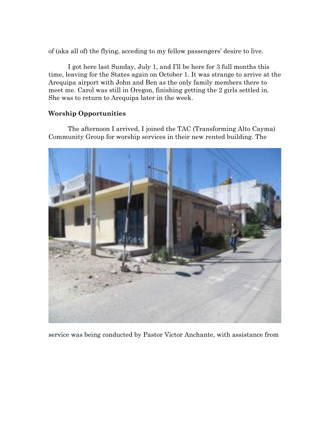of (aka all of) the flying, acceding to my fellow passengers' desire to live.

I got here last Sunday, July 1, and I'll be here for 3 full months this time, leaving for the States again on October 1. It was strange to arrive at the Arequipa airport with John and Ben as the only family members there to meet me. Carol was still in Oregon, finishing getting the 2 girls settled in. She was to return to Arequipa later in the week.

## **Worship Opportunities**

The afternoon I arrived, I joined the TAC (Transforming Alto Cayma) Community Group for worship services in their new rented building. The



service was being conducted by Pastor Victor Anchante, with assistance from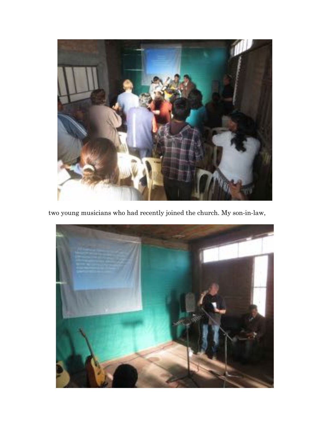

two young musicians who had recently joined the church. My son-in-law,

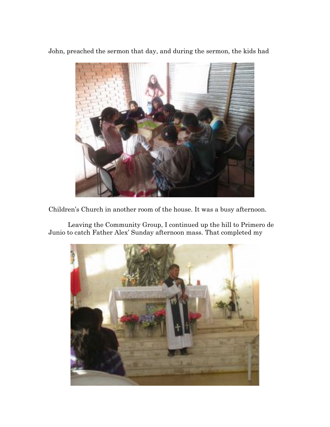John, preached the sermon that day, and during the sermon, the kids had



Children's Church in another room of the house. It was a busy afternoon.

Leaving the Community Group, I continued up the hill to Primero de Junio to catch Father Alex' Sunday afternoon mass. That completed my

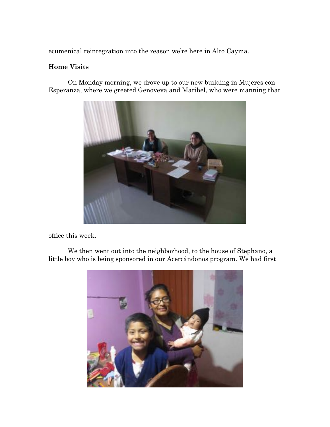ecumenical reintegration into the reason we're here in Alto Cayma.

#### **Home Visits**

On Monday morning, we drove up to our new building in Mujeres con Esperanza, where we greeted Genoveva and Maribel, who were manning that



office this week.

We then went out into the neighborhood, to the house of Stephano, a little boy who is being sponsored in our Acercándonos program. We had first

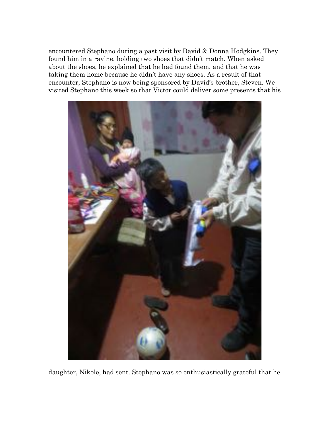encountered Stephano during a past visit by David & Donna Hodgkins. They found him in a ravine, holding two shoes that didn't match. When asked about the shoes, he explained that he had found them, and that he was taking them home because he didn't have any shoes. As a result of that encounter, Stephano is now being sponsored by David's brother, Steven. We visited Stephano this week so that Victor could deliver some presents that his



daughter, Nikole, had sent. Stephano was so enthusiastically grateful that he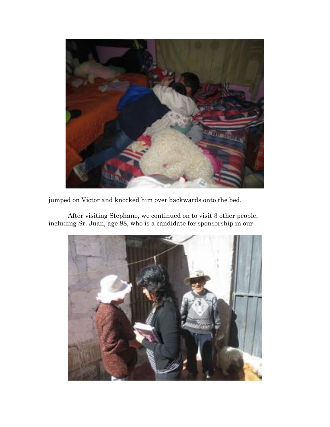

jumped on Victor and knocked him over backwards onto the bed.

After visiting Stephano, we continued on to visit 3 other people, including Sr. Juan, age 88, who is a candidate for sponsorship in our

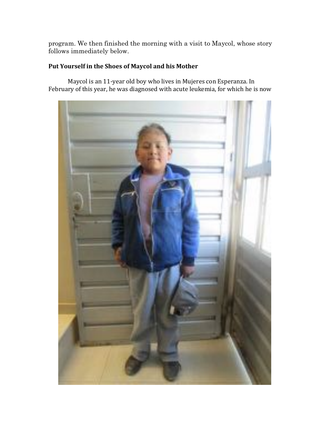program. We then finished the morning with a visit to Maycol, whose story follows immediately below.

# Put Yourself in the Shoes of Maycol and his Mother

Maycol is an 11-year old boy who lives in Mujeres con Esperanza. In February of this year, he was diagnosed with acute leukemia, for which he is now

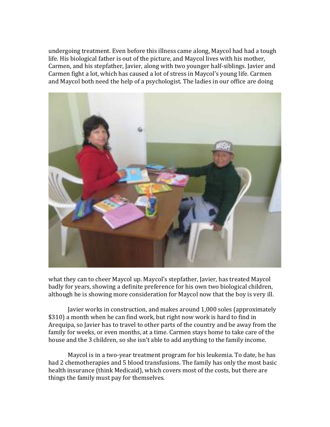undergoing treatment. Even before this illness came along, Maycol had had a tough life. His biological father is out of the picture, and Maycol lives with his mother, Carmen, and his stepfather, Javier, along with two younger half-siblings. Javier and Carmen fight a lot, which has caused a lot of stress in Maycol's young life. Carmen and Maycol both need the help of a psychologist. The ladies in our office are doing



what they can to cheer Maycol up. Maycol's stepfather, Javier, has treated Maycol badly for years, showing a definite preference for his own two biological children, although he is showing more consideration for Maycol now that the boy is very ill.

Javier works in construction, and makes around 1,000 soles (approximately \$310) a month when he can find work, but right now work is hard to find in Arequipa, so Javier has to travel to other parts of the country and be away from the family for weeks, or even months, at a time. Carmen stays home to take care of the house and the 3 children, so she isn't able to add anything to the family income.

Maycol is in a two-year treatment program for his leukemia. To date, he has had 2 chemotherapies and 5 blood transfusions. The family has only the most basic health insurance (think Medicaid), which covers most of the costs, but there are things the family must pay for themselves.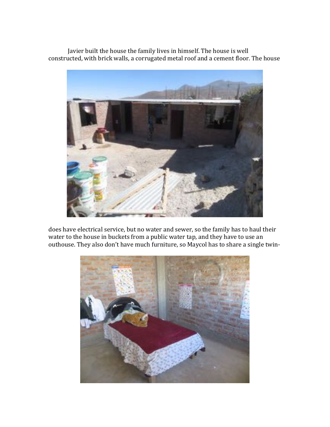Javier built the house the family lives in himself. The house is well constructed, with brick walls, a corrugated metal roof and a cement floor. The house



does have electrical service, but no water and sewer, so the family has to haul their water to the house in buckets from a public water tap, and they have to use an outhouse. They also don't have much furniture, so Maycol has to share a single twin-

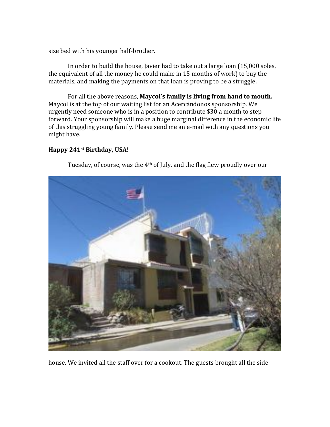size bed with his younger half-brother.

In order to build the house, Javier had to take out a large loan (15,000 soles, the equivalent of all the money he could make in 15 months of work) to buy the materials, and making the payments on that loan is proving to be a struggle.

For all the above reasons, Maycol's family is living from hand to mouth. Maycol is at the top of our waiting list for an Acercándonos sponsorship. We urgently need someone who is in a position to contribute  $$30$  a month to step forward. Your sponsorship will make a huge marginal difference in the economic life of this struggling young family. Please send me an e-mail with any questions you might have.

#### **Happy 241st Birthday, USA!**

Tuesday, of course, was the 4<sup>th</sup> of July, and the flag flew proudly over our



house. We invited all the staff over for a cookout. The guests brought all the side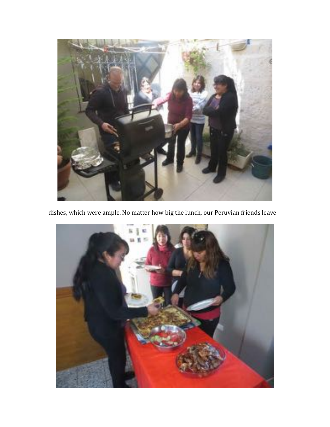

dishes, which were ample. No matter how big the lunch, our Peruvian friends leave

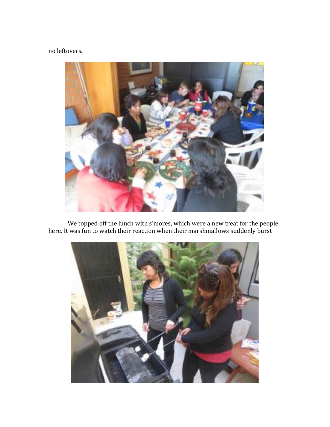#### no leftovers.



We topped off the lunch with s'mores, which were a new treat for the people here. It was fun to watch their reaction when their marshmallows suddenly burst

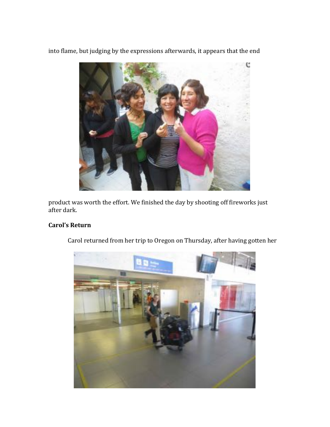into flame, but judging by the expressions afterwards, it appears that the end



product was worth the effort. We finished the day by shooting off fireworks just after dark.

# **Carol's Return**



Carol returned from her trip to Oregon on Thursday, after having gotten her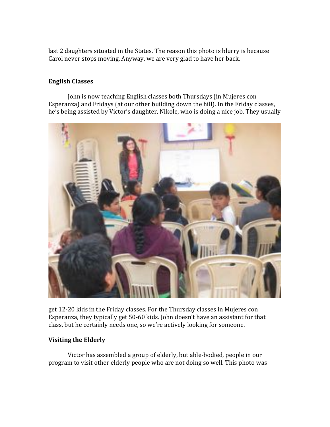last 2 daughters situated in the States. The reason this photo is blurry is because Carol never stops moving. Anyway, we are very glad to have her back.

#### **English Classes**

John is now teaching English classes both Thursdays (in Mujeres con Esperanza) and Fridays (at our other building down the hill). In the Friday classes, he's being assisted by Victor's daughter, Nikole, who is doing a nice job. They usually



get 12-20 kids in the Friday classes. For the Thursday classes in Mujeres con Esperanza, they typically get 50-60 kids. John doesn't have an assistant for that class, but he certainly needs one, so we're actively looking for someone.

#### **Visiting the Elderly**

Victor has assembled a group of elderly, but able-bodied, people in our program to visit other elderly people who are not doing so well. This photo was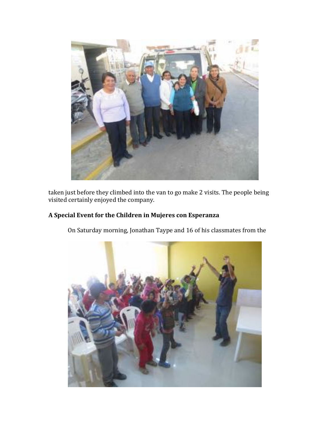

taken just before they climbed into the van to go make 2 visits. The people being visited certainly enjoyed the company.

# **A Special Event for the Children in Mujeres con Esperanza**

On Saturday morning, Jonathan Taype and 16 of his classmates from the

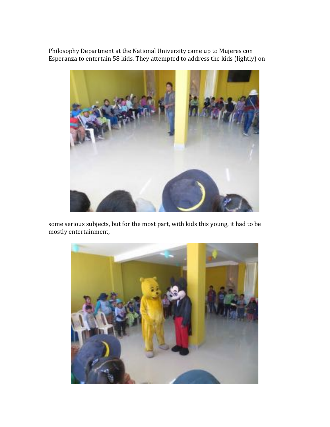Philosophy Department at the National University came up to Mujeres con Esperanza to entertain 58 kids. They attempted to address the kids (lightly) on



some serious subjects, but for the most part, with kids this young, it had to be mostly entertainment,

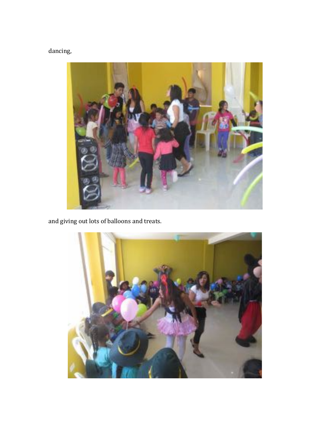# dancing,



and giving out lots of balloons and treats.

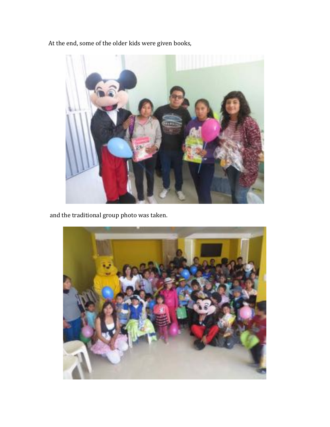At the end, some of the older kids were given books,



and the traditional group photo was taken.

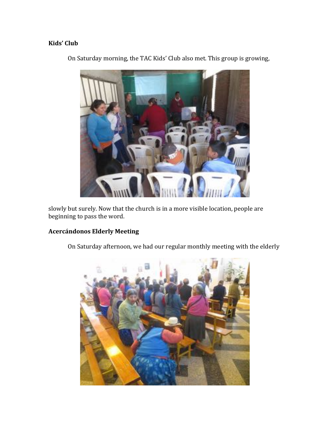# **Kids' Club**

On Saturday morning, the TAC Kids' Club also met. This group is growing,



slowly but surely. Now that the church is in a more visible location, people are beginning to pass the word.

# **Acercándonos Elderly Meeting**

On Saturday afternoon, we had our regular monthly meeting with the elderly

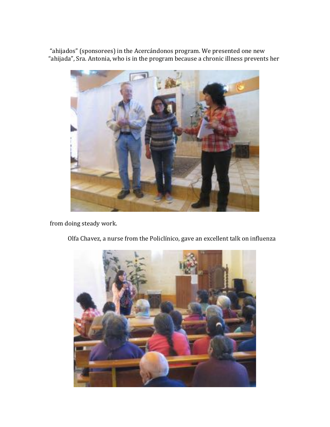"ahijados" (sponsorees) in the Acercándonos program. We presented one new "ahijada", Sra. Antonia, who is in the program because a chronic illness prevents her



from doing steady work.

Olfa Chavez, a nurse from the Policlínico, gave an excellent talk on influenza

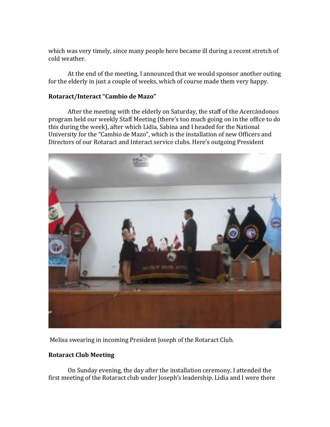which was very timely, since many people here became ill during a recent stretch of cold weather.

At the end of the meeting, I announced that we would sponsor another outing for the elderly in just a couple of weeks, which of course made them very happy.

#### **Rotaract/Interact "Cambio de Mazo"**

After the meeting with the elderly on Saturday, the staff of the Acercándonos program held our weekly Staff Meeting (there's too much going on in the office to do this during the week), after which Lidia, Sabina and I headed for the National University for the "Cambio de Mazo", which is the installation of new Officers and Directors of our Rotaract and Interact service clubs. Here's outgoing President



Melisa swearing in incoming President Joseph of the Rotaract Club.

#### **Rotaract Club Meeting**

On Sunday evening, the day after the installation ceremony, I attended the first meeting of the Rotaract club under Joseph's leadership. Lidia and I were there